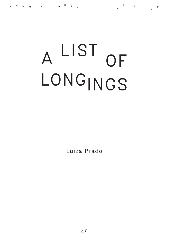## **<sup>A</sup> LIST OF LONGINGS**

**Luiza Prado**

**C C**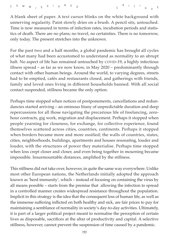A blank sheet of paper. A text cursor blinks on the white background with unnerving regularity. Paint slowly dries on a brush. A pencil sits, untouched. Time is now measured in terms of infection rates, incubation periods and statistics of death. There are no plans; no travel, no certainties. There is no tomorrow, only today. The present stretches into the unknown.

For the past two and a half months, a global pandemic has brought all cycles of what many had been accustomed to understand as normality to an abrupt halt. No aspect of life has remained untouched by COVID-19, a highly infectious illness spread – as far as we now know, in May 2020 – predominantly through contact with other human beings. Around the world, to varying degrees, streets had to be emptied, cafés and restaurants closed, and gatherings with friends, family and loved ones living in different households banned. With all social contact suspended, stillness became the only option.

Perhaps time stopped when notices of postponements, cancellations and redundancies started arriving – an ominous litany of unpredictable duration and deep repercussions for all those navigating the precarious life of freelancing, zerohour contracts, gig work, migration and displacement. Perhaps it stopped when people yearning for closeness, for exchange, for collective experience, found themselves scattered across cities, countries, continents. Perhaps it stopped when borders became more and more ossified; the walls of countries, states, cities, neighborhoods, buildings, apartments and houses resonating, louder and louder, with the structures of power they materialise. Perhaps time stopped when loss crept closer and closer, and even being together in mourning became impossible. Insurmountable distances, amplified by the stillness.

This stillness did not take over, however, in quite the same way everywhere. Unlike most other European nations, the Netherlands initially adopted the approach known as 'herd immunity', which – instead of focusing on containing the virus by all means possible – starts from the premise that allowing the infection to spread in a controlled manner creates widespread resistance throughout the population. Implicit in this strategy is the idea that the consequent loss of human life, as well as the immense suffering inflicted on both healthy and sick, are fair prices to pay for maintaining a semblance of normality in society's day-to-day activities. Ultimately, it is part of a larger political project meant to normalise the perception of certain lives as disposable, sacrifices at the altar of productivity and capital. A selective stillness, however, cannot prevent the suspension of time caused by a pandemic.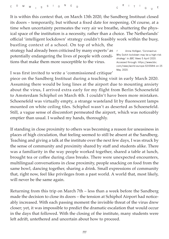It is within this context that, on March 13th 2020, the Sandberg Instituut closed its doors – temporarily, but without a fixed date for reopening. Of course, at a time when uncertainty permeates the very air we breathe, shuttering the physical space of the institution is a necessity, rather than a choice. The Netherlands' official 'intelligent lockdown' strategy couldn't feasibly work within the busy,

bustling context of a school. On top of which, the strategy had already been criticised by many experts *<sup>1</sup>* as potentially endangering the lives of people with conditions that make them more susceptible to the virus.

*1* **Anna Holligan, 'Coronavirus: Why Dutch lockdown may be a high-risk strategy' in** *BBC News* **5 April 2020. Accessed through: [https://www.bbc.](https://www.bbc.com/news/world-europe-52135814) [com/news/world-europe-52135814](https://www.bbc.com/news/world-europe-52135814) on 25 May, 2020.**

I was first invited to write a 'commissioned critique'

piece on the Sandberg Instituut during a teaching visit in early March 2020. Assuming there would be long lines at the airport due to mounting anxiety about the virus, I arrived extra early for my flight from Berlin Schoenefeld to Amsterdam Schiphol on March 4th. I couldn't have been more mistaken. Schoenefeld was virtually empty, a strange wasteland lit by fluorescent lamps mounted on white ceiling tiles. Schiphol wasn't as deserted as Schoenefeld. Still, a vague sense of discomfort permeated the airport, which was noticeably emptier than usual. I washed my hands, thoroughly.

If standing in close proximity to others was becoming a reason for uneasiness in places of high circulation, that feeling seemed to still be absent at the Sandberg. Teaching and giving a talk at the institute over the next few days, I was struck by the sense of community and proximity shared by staff and students alike. There was a familiarity in the way people worked together, shared a table at lunch, brought tea or coffee during class breaks. There were unexpected encounters, multilingual conversations in close proximity, people snacking on food from the same bowl, dancing together, sharing a drink. Small expressions of community that, right now, feel like privileges from a past world. A world that, most likely, will never be the same again.

Returning from this trip on March 7th – less than a week before the Sandberg made the decision to close its doors – the tension at Schiphol Airport had noticeably increased. With each passing moment the invisible threat of the virus drew closer; yet, it was impossible to predict the dramatic escalation that would occur in the days that followed. With the closing of the institute, many students were left adrift, untethered and uncertain about how to proceed.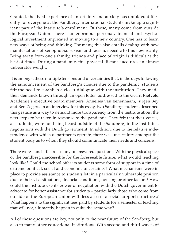$R \tI \tT \tO$ **<sup>Q</sup> <sup>U</sup> <sup>E</sup>**

Granted, the lived experience of uncertainty and anxiety has unfolded differently for everyone at the Sandberg. International students make up a significant part of the institute's enrollment. Of these, many come from outside the European Union. There is an enormous personal, financial and psychological investment implicated in moving to a new country. One has to learn new ways of being and thinking. For many, this also entails dealing with new manifestations of xenophobia, sexism and racism, specific to this new reality. Being away from one's family, friends and place of origin is difficult at the best of times. During a pandemic, this physical distance acquires an almost unbearable weight.

It is amongst these multiple tensions and uncertainties that, in the days following the announcement of the Sandberg's closure due to the pandemic, students felt the need to establish a closer dialogue with the institution. They made their demands known through an open letter, addressed to the Gerrit Rietveld Academie's executive board members, Annelies van Eenennaam, Jurgen Bey and Ben Zegers. In an interview for this essay, two Sandberg students described this gesture as a way to demand more transparency from the institute about the next steps to be taken in response to the pandemic. They felt that their voices, as students, were not being heard outside of the Sandberg, in the institute's negotiations with the Dutch government. In addition, due to the relative independence with which departments operate, there was uncertainty amongst the student body as to whom they should communicate their needs and concerns.

There were – and still are – many unanswered questions. With the physical space of the Sandberg inaccessible for the foreseeable future, what would teaching look like? Could the school offer its students some form of support in a time of extreme political, social and economic uncertainty? What mechanisms were in place to provide assistance to students left in a particularly vulnerable position due to their visa situations, financial conditions, housing or other factors? How could the institute use its power of negotiation with the Dutch government to advocate for better assistance for students – particularly those who come from outside of the European Union with less access to social support structures? What happens to the significant fees paid by students for a semester of teaching that will not, ultimately, happen in quite the same way?

All of these questions are key, not only to the near future of the Sandberg, but also to many other educational institutions. With second and third waves of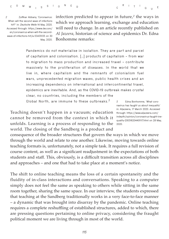*2* **Zulfikar Abbany, 'Coronavirus: When will the second wave of infections hit?' in:** *Deutsche Welle* **14 May, 2020. Accessed through: [https://www.dw.com/](https://www.dw.com/en/coronavirus-when-will-the-second-wave-of-infections-hit/a-53435135) [en/coronavirus-when-will-the-second](https://www.dw.com/en/coronavirus-when-will-the-second-wave-of-infections-hit/a-53435135)[wave-of-infections-hit/a-53435135](https://www.dw.com/en/coronavirus-when-will-the-second-wave-of-infections-hit/a-53435135) on 30 May, 2020.** infection predicted to appear in future,*<sup>2</sup>* the ways in which we approach learning, exchange and education will need to change. In an article recently published on *Al Jazeera*, historian of science and epidemics Dr. Edna Bonhomme remarks:

 $R$  **I T I** 

**<sup>Q</sup> <sup>U</sup> <sup>E</sup>**

**Pandemics do not materialise in isolation. They are part and parcel of capitalism and colonisation. […] products of capitalism – from war to migration to mass production and increased travel – contribute massively to the proliferation of diseases. In the world that we live in, where capitalism and the remnants of colonialism fuel wars, unprecedented migration waves, public health crises and an increasing dependency on international and intercontinental travel, epidemics are inevitable. And, as the COVID-19 outbreak makes crystal clear, no countries, including the members of the Global North, are immune to these outbreaks.***<sup>3</sup>*

Teaching doesn't happen in a vacuum; education cannot be removed from the context in which it unfolds. Learning is a process of responding to the world. The closing of the Sandberg is a product and

*3* **Edna Bonhomme, 'What coronavirus has taught us about inequality' in: Aljazeera, 17 March 2020. Accessed through: [https://www.aljazeera.com/](https://www.aljazeera.com/indepth/opinion/coronavirus-taught-inequality-200316204401117.html) [indepth/opinion/coronavirus-taught-ine](https://www.aljazeera.com/indepth/opinion/coronavirus-taught-inequality-200316204401117.html)[quality-200316204401117.html](https://www.aljazeera.com/indepth/opinion/coronavirus-taught-inequality-200316204401117.html) on 28 May, 2020.**

consequence of the broader structures that govern the ways in which we move through the world and relate to one another. Likewise, moving towards online teaching formats is, unfortunately, not a simple task. It requires a full revision of course content, as well as a significant readjustment in the expectations of both students and staff. This, obviously, is a difficult transition across all disciplines and approaches – and one that had to take place at a moment's notice.

The shift to online teaching means the loss of a certain spontaneity and the fluidity of in-class interactions and conversations. Speaking to a computer simply does not feel the same as speaking to others while sitting in the same room together, sharing the same space. In our interview, the students expressed that teaching at the Sandberg traditionally works in a very face-to-face manner – a dynamic that was brought into disarray by the pandemic. Online teaching requires a complete reshuffling of established structures, added to which, there are pressing questions pertaining to online privacy, considering the fraught political moment we are living through in most of the world.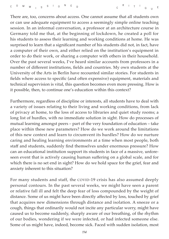There are, too, concerns about access. One cannot assume that all students own or can use adequate equipment to access a seemingly simple online teaching session. In an informal conversation, a professor at an architecture course in Germany told me that, at the beginning of lockdown, he created a poll for his students to assess their learning and working conditions at home. He was surprised to learn that a significant number of his students did not, in fact, have a computer of their own, and either relied on the institution's equipment in order to do their work, or sharing a computer with others in their household. Over the past several weeks, I've heard similar accounts from professors in a number of different institutions, fields and countries. My own students at the University of the Arts in Berlin have recounted similar stories. For students in fields where access to specific (and often expensive) equipment, materials and technical supervision is vital, this question becomes even more pressing. How is it possible, then, to continue one's education within this context?

Furthermore, regardless of discipline or interests, all students have to deal with a variety of issues relating to their living and working conditions, from lack of privacy at home, to the loss of access to libraries and quiet study rooms; a long list of hurdles, with no immediate solution in sight. How do processes of mutual learning amongst peers – part of the very foundation of education – take place within these new parameters? How do we work around the limitations of this new context and learn to circumvent its hurdles? How do we nurture caring and healing learning environments at a time when most people, both staff and students, suddenly find themselves under enormous pressure? How can an educational institution support its students in face of a massive, unforeseen event that is actively causing human suffering on a global scale, and for which there is no set end in sight? How do we hold space for the grief, fear and anxiety inherent to this situation?

For many students and staff, the COVID-19 crisis has also assumed deeply personal contours. In the past several weeks, we might have seen a parent or relative fall ill and felt the deep fear of loss compounded by the weight of distance. Some of us might have been directly affected by loss, touched by grief that acquires new dimensions through distance and isolation. A sneeze or a cough, things that ordinarily would not incite any particular worry, might have caused us to become suddenly, sharply aware of our breathing, of the rhythm of our bodies, wondering if we were infected, or had infected someone else. Some of us might have, indeed, become sick. Faced with sudden isolation, most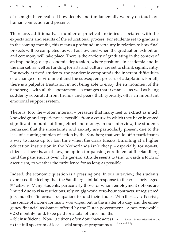of us might have realised how deeply and fundamentally we rely on touch, on human connection and presence.

There are, additionally, a number of practical anxieties associated with the expectations and results of the educational process. For students set to graduate in the coming months, this means a profound uncertainty in relation to how final projects will be completed, as well as how and when the graduation exhibition and ceremony will take place. There is the anxiety of graduating in the context of an impending, deep economic depression, where positions in academia and in the market, as well as funding for arts and culture, are set to shrink significantly. For newly arrived students, the pandemic compounds the inherent difficulties of a change of environment and the subsequent process of adaptation. For all, there is a palpable frustration in not being able to enjoy the environment of the Sandberg – with all the spontaneous exchanges that it entails – as well as being suddenly separated from friends and peers that, typically, offer an important emotional support system.

There is, too, the – often internal – pressure that many feel to extract as much knowledge and experience as possible from a course in which they have invested significant amounts of time, effort and money. In our interview, the students remarked that the uncertainty and anxiety are particularly present due to the lack of a contingent plan of action by the Sandberg that would offer participants a way to make up for lost time when the crisis breaks. Enrolling at a higher education institution in the Netherlands isn't cheap – especially for non-EU citizens. There is, as of now, no option for pausing enrollment at the Sandberg until the pandemic is over. The general attitude seems to tend towards a form of asceticism, to weather the turbulence for as long as possible.

Indeed, the economic question is a pressing one. In our interview, the students expressed the feeling that the Sandberg's initial response to the crisis privileged EU citizens. Many students, particularly those for whom employment options are limited due to visa restrictions, rely on gig work, zero-hour contracts, unregistered job, and other 'informal' occupations to fund their studies. With the COVID-19 crisis, the source of income for many was wiped out in the matter of a day, and the emergency financial assistance offered by the Dutch government – a non-renewable  $€250$  monthly fund, to be paid for a total of three months

*4* **Later this was extended to May, June and July.** – felt insufficient.*<sup>4</sup>* Non-EU citizens often don't have access to the full spectrum of local social support programmes.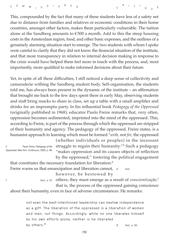This, compounded by the fact that many of these students have less of a safety net due to distance from families and relatives or economic conditions in their home countries, amongst other factors, makes them particularly vulnerable. The tuition alone at the Sandberg amounts to  $\epsilon$ 500 a month. Add to this the steep housing costs in the Amsterdam region, food, and other basic expenses, and the outlines of a genuinely alarming situation start to emerge. The two students with whom I spoke were careful to clarify that they did not know the financial situation of the institute, and that more transparency in relation to internal decision making in response to the crisis would have helped them feel more in touch with the process, and, most importantly, more qualified to make informed decisions about their future.

Yet, in spite of all these difficulties, I still noticed a deep sense of collectivity and camaraderie withing the Sandberg student body. Self-organisation, the students told me, has always been present in the dynamic of the institute – an affirmation that brought me back to the few days spent there in early May, observing students and staff bring snacks to share in class, set up a table with a small amplifier and drinks for an impromptu party. In his influential book *Pedagogy of the Oppressed* (originally published in 1968), educator Paulo Freire remarks that, very often, oppression becomes sedimented, imprinted into the mind of the oppressed. This, according to Freire, is part of the process through which the oppressed are stripped of their humanity and agency. The pedagogy of the oppressed, Freire states, is a humanist approach to learning which must be formed "*with*, not *for,* the oppressed

*5* **Paulo Freire,** *Pedagogy of the Oppressed***, New York: Continuum, 2005, p. 48.**

(whether individuals or peoples) in the incessant struggle to regain their humanity."*<sup>5</sup>* Such a pedagogy "makes oppression and its causes objects of reflection by the oppressed," fostering the political engagement

*6* **Ibid.**

that constitutes the necessary foundation for liberation.*<sup>6</sup>* Freire warns us that emancipation and liberation cannot, 6

however, be bestowed by

others; they must emerge as a result of *conscientização,<sup>7</sup> 7* **Ibid., p. 67.** that is, the process of the oppressed gaining conscience

about their humanity, even in face of adverse circumstances. He remarks:

**not even the best-intentioned leadership can bestow independence as a gift. The liberation of the oppressed is a liberation of women and men, not things. Accordingly, while no one liberates himself by his own efforts alone, neither is he liberated by others.***<sup>8</sup> 8* **Ibid., p. 66.**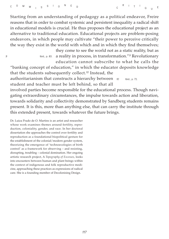Starting from an understanding of pedagogy as a political endeavor, Freire reasons that in order to combat systemic and persistent inequality a radical shift in educational models is crucial. He thus proposes the educational project as an alternative to traditional education. Educational projects are problem-posing endeavors, in which people may cultivate "their power to perceive critically the way they exist in the world with which and in which they find themselves;

they come to see the world not as a static reality, but as a reality in process, in transformation."*<sup>9</sup>* Revolutionary education cannot subscribe to what he calls the *9* **Ibid., p. 83.**

**<sup>R</sup> <sup>I</sup> <sup>T</sup> <sup>I</sup>**

**<sup>Q</sup> <sup>U</sup> <sup>E</sup>**

"banking concept of education," in which the educator deposits knowledge that the students subsequently collect.*<sup>10</sup>* Instead, the authoritarianism that constructs a hierarchy between  $\omega$ student and teacher must be left behind, so that all involved parties become responsible for the educational process. Though navigating extraordinary circumstances, the impulse towards action and liberation, *10* **Ibid., p. 72.**

towards solidarity and collectivity demonstrated by Sandberg students remains present. It is this, more than anything else, that can carry the institute through this extended present, towards whatever the future brings.

Dr. Luiza Prado de O. Martins is an artist and researcher whose work examines themes around fertility, reproduction, coloniality, gender, and race. In her doctoral dissertation she approaches the control over fertility and reproduction as a foundational biopolitical gesture for the establishment of the colonial/modern gender system, theorizing the emergence of 'technoecologies of birth control' as a framework for observing – and resisting, disrupting, troubling – colonial domination. Her ongoing artistic research project, A *Topography of Excesses*, looks into encounters between human and plant beings within the context of indigenous and folk reproductive medicine, approaching these practices as expressions of radical care. She is a founding member of [Decolonising Design](http://www.decolonisingdesign.com/).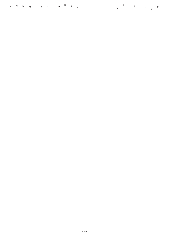|  |  |  |  |  |  |  |  |  |  |  | C <sup>O</sup> M <sub>M I</sub> S <sup>S</sup> I O <sup>N</sup> E <sub>D</sub> |  | $R$ $T$ $T$ |  |  |  |  |
|--|--|--|--|--|--|--|--|--|--|--|--------------------------------------------------------------------------------|--|-------------|--|--|--|--|
|--|--|--|--|--|--|--|--|--|--|--|--------------------------------------------------------------------------------|--|-------------|--|--|--|--|

**<sup>Q</sup> <sup>U</sup> <sup>E</sup>**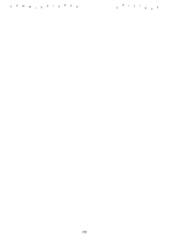|  |  |  |  |  |  |  |  |  |  |  | C <sup>O</sup> M <sub>M I</sub> S <sup>S</sup> I O <sup>N</sup> E <sub>D</sub> |  |  |  | $R + T$ |  |
|--|--|--|--|--|--|--|--|--|--|--|--------------------------------------------------------------------------------|--|--|--|---------|--|
|--|--|--|--|--|--|--|--|--|--|--|--------------------------------------------------------------------------------|--|--|--|---------|--|

**<sup>Q</sup> <sup>U</sup> <sup>E</sup>**